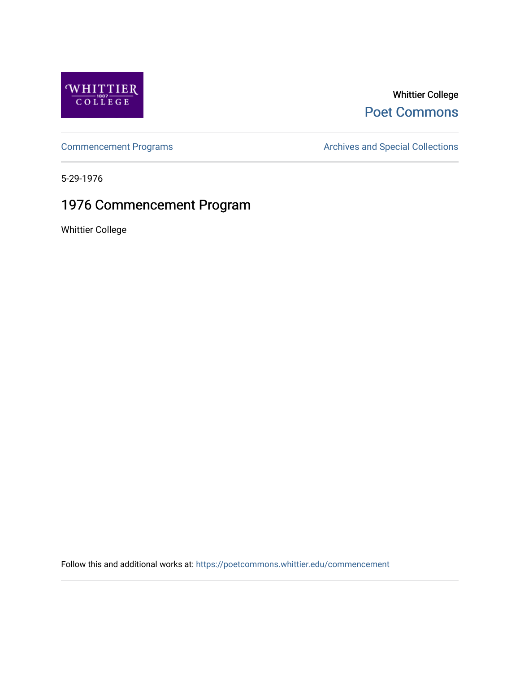

## Whittier College [Poet Commons](https://poetcommons.whittier.edu/)

[Commencement Programs](https://poetcommons.whittier.edu/commencement) **Archives and Special Collections** Archives and Special Collections

5-29-1976

# 1976 Commencement Program

Whittier College

Follow this and additional works at: [https://poetcommons.whittier.edu/commencement](https://poetcommons.whittier.edu/commencement?utm_source=poetcommons.whittier.edu%2Fcommencement%2F65&utm_medium=PDF&utm_campaign=PDFCoverPages)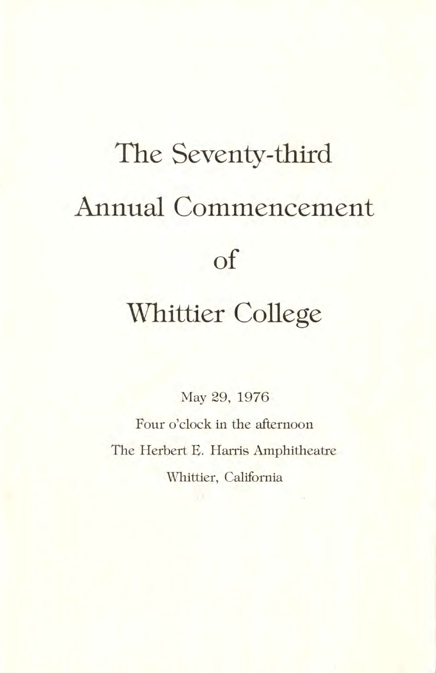# The Seventy-third Annual Commencement of

# Whittier College

May 29, 1976

Four o'clock in the afternoon The Herbert E. Harris Amphitheatre Whittier, California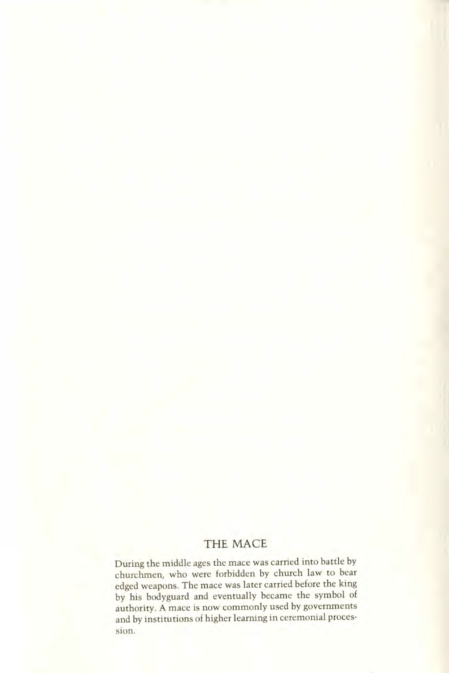#### THE MACE

During the middle ages the mace was carried into battle by churchmen, who were forbidden by church law to bear edged weapons. The mace was later carried before the king by his bodyguard and eventually became the symbol of authority. A mace is now commonly used by governments and by institutions of higher learning in ceremonial procession.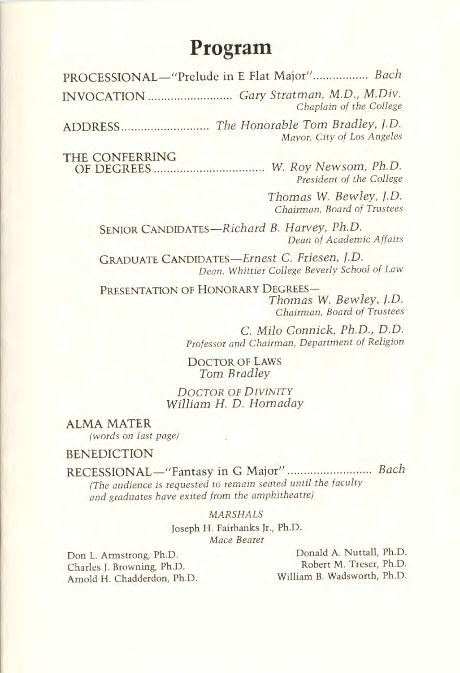### **Program**

PROCESSIONAL—"Prelude in E Flat Major" ................. Bach

INVOCATION Gary Stratman, M.D., M.Div. Chaplain of the College

ADDRESS The Honorable Tom Bradley, J.D. Mayor, City of Los Angeles

THE CONFERRING OF DEGREES W. Roy Newsom, Ph.D. President of the College

> Thomas W. Bewley, J.D. Chairman, Board of Trustees

SENIOR CANDIDATES—Richard B. Harvey, Ph.D. Dean of Academic Affairs

GRADUATE CANDIDATES—Ernest C. Friesen, [.D. Dean, Whittier College Beverly School of Law

PRESENTATION OF HONORARY DEGREES— Thomas W. Bewley, J.D. Chairman, Board of Trustees

> C. Milo Connick, Ph.D., D.D. Professor and Chairman, Department of Religion

DOCTOR OF LAWS Tom Bradley

DOCTOR OF DIVINITY William H. D. Homaday

ALMA MATER (words on last page)

#### BENEDICTION

RECESSIONAL—"Fantasy in G Major" .............................. Bach (The audience is requested to remain seated until the faculty and graduates have exited from the amphitheatre)

> MARSHALS Joseph H. Fairbanks Jr., Ph.D. Mace Bearer

Don L. Armstrong, Ph.D. Charles J. Browning, Ph.D. Arnold H. Chadderdon, Ph.D.

Donald A. Nuttall, Ph.D. Robert M. Treser, Ph.D. William B. Wadsworth, Ph.D.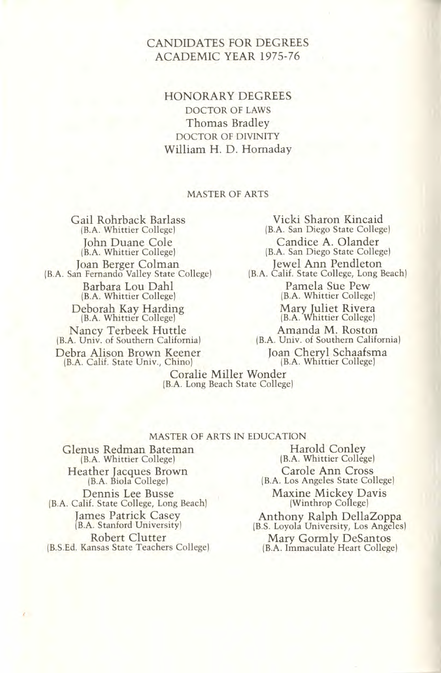#### CANDIDATES FOR DEGREES ACADEMIC YEAR 1975-76

HONORARY DEGREES DOCTOR OF LAWS Thomas Bradley DOCTOR OF DIVINITY William H. D. Homaday

#### MASTER OF ARTS

Gail Rohrback Barlass (BA. Whittier College) John Duane Cole (B.A. Whittier College) Joan Berger Colman (BA. San Fernando Valley State College) Barbara Lou Dahl (BA. Whittier College) Deborah Kay Harding (BA. Whittier College) Nancy Terbeek Huttle (B.A. Univ. of Southern California) Debra Alison Brown Keener

(B.A. Calif. State Univ., Chino)

Vicki Sharon Kincaid (BA. San Diego State College) Candice A. Olander (BA. San Diego State College) Jewel Ann Pendleton (BA. Calif. State College, Long Beach) Pamela Sue Pew (BA. Whittier College) Mary Juliet Rivera (BA. Whittier College) Amanda M. Roston (B.A. Univ. of Southern California)

Joan Cheryl Schaafsma (B.A. Whittier College)

Coralie Miller Wonder (BA. Long Beach State College)

#### MASTER OF ARTS IN EDUCATION

Glenus Redman Bateman (BA. Whittier College) Heather Jacques Brown (BA. Biola College) Dennis Lee Busse (BA. Calif. State College, Long Beach) James Patrick Casey (BA. Stanford University) Robert Clutter (B.S.Ed. Kansas State Teachers College)

Harold Conley (B.A. Whittier College) Carole Ann Cross (BA. Los Angeles State College) Maxine Mickey Davis (Winthrop College) Anthony Ralph DellaZoppa (B.S. Loyola University, Los Angeles) Mary Gormly DeSantos (BA. Immaculate Heart College)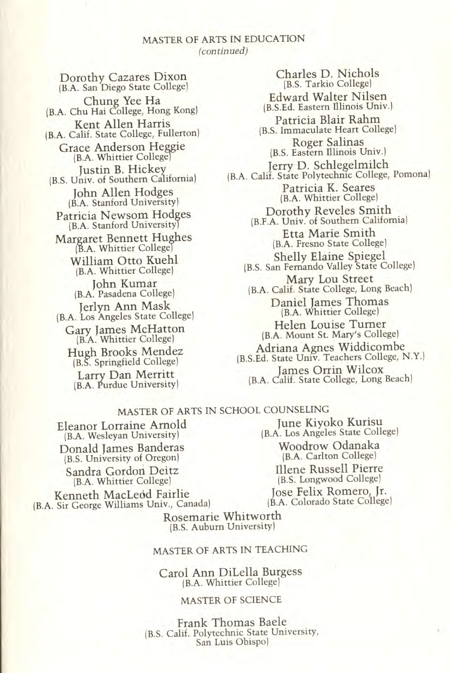#### MASTER OF ARTS IN EDUCATION (continued)

Dorothy Cazares Dixon (B.A. San Diego State College) Chung Yee Ha (BA. Chu Hai College, Hong Kong) Kent Allen Harris (BA. Calif. State College, Fullerton) Grace Anderson Heggie (B.A. Whittier College) Justin B. Hickey (B.S. Univ. of Southern California) John Allen Hodges (BA. Stanford University) Patricia Newsom Hodges (BA. Stanford University) Margaret Bennett Hughes (BA. Whittier College) William Otto Kuehl (BA. Whittier College) John Kumar (BA. Pasadena College) Jerlyn Ann Mask (BA. Los Angeles State College) Gary James McHatton (BA. Whittier College) Hugh Brooks Mendez (B.S. Springfield College) Larry Dan Merritt (B.A. Purdue University)

Charles D. Nichols (B.S. Tarkio College) Edward Walter Nilsen (B.S.Ed. Eastern Illinois Univ.) Patricia Blair Rahm (B.S. Immaculate Heart College) Roger Salinas (B.S. Eastern Illinois Univ.) Jerry D. Schlegelmilch (B.A. Calif. State Polytechnic College, Pomona) Patricia K. Seares (BA. Whittier College) Dorothy Reveles Smith (B.F.A. Univ. of Southern California) Etta Marie Smith (BA. Fresno State College) Shelly Elaine Spiegel (B.S. San Fernando Valley State College) Mary Lou Street (B.A. Calif. State College, Long Beach) Daniel James Thomas (B.A. Whittier College) Helen Louise Turner (BA. Mount St. Mary's College) Adriana Agnes Widdicombe (B.S.Ed. State Univ. Teachers College, N.Y.) James Orrin Wilcox (BA. Calif. State College, Long Beach)

#### MASTER OF ARTS IN SCHOOL COUNSELING

Eleanor Lorraine Arnold (BA. Wesleyan University) Donald James Banderas (B.S. University of Oregon) Sandra Gordon Deitz (BA. Whittier College)

Kenneth MacLeód Fairlie (BA. Sir George Williams Univ., Canada)

June Kiyoko Kurisu (B.A. Los Angeles State College) Woodrow Odanaka (BA. Carlton College) Illene Russell Pierre (B.S. Longwood College) Jose Felix Romero, Jr. (B.A. Colorado State College)

Rosemarie Whitworth (B.S. Auburn University)

#### MASTER OF ARTS IN TEACHING

#### Carol Ann DiLella Burgess (BA. Whittier College)

#### MASTER OF SCIENCE

Frank Thomas Baele (B.S. Calif. Polytechnic State University, San Luis Obispo)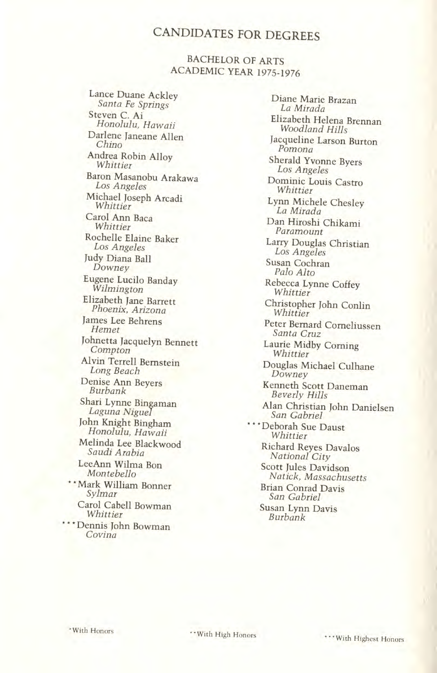#### BACHELOR OF ARTS ACADEMIC YEAR 1975-1976

Lance Duane Ackley Santa Fe Springs Steven C. Ai Honolulu, Hawaii Darlene Janeane Allen Chino Andrea Robin Alloy Whittier Baron Masanobu Arakawa Los Angeles Michael Joseph Arcadi Whittier Carol Ann Baca Whittier Rochelle Elaine Baker Los Angeles Judy Diana Ball Downey Eugene Lucilo Banday Wilmington Elizabeth Jane Barrett Phoenix, Arizona James Lee Behrens Hemet Johnetta Jacquelyn Bennett Compton Alvin Terrell Bernstein Long Beach Denise Ann Beyers Burbank Shari Lynne Bingaman Laguna Niguel John Knight Bingham Honolulu, Hawaii Melinda Lee Blackwood Saudi Arabia LeeAnn Wilma Bon Montebello Mark William Bonner Sylmar Carol Cabell Bowman Whittier \* \* \*Dennis John Bowman Covina

Diane Marie Brazan La Mirada Elizabeth Helena Brennan Woodland Hills Jacqueline Larson Burton Pomona Sherald Yvonne Byers Los Angeles Dominic Louis Castro Whittier Lynn Michele Chesley La Mirada Dan Hiroshi Chikami Paramount Larry Douglas Christian Los Angeles Susan Cochran Palo Alto Rebecca Lynne Coffey Whittier Christopher John Conlin Whittier Peter Bernard Corneliussen Santa Cruz Laurie Midby Corning Whittier Douglas Michael Culhane Downey Kenneth Scott Daneman Beverly Hills Alan Christian John Danielsen San Gabriel \* \* \*Deborah Sue Daust Whittier Richard Reyes Davalos National City Scott Jules Davidson Natick, Massachusetts Brian Conrad Davis San Gabriel Susan Lynn Davis Burbank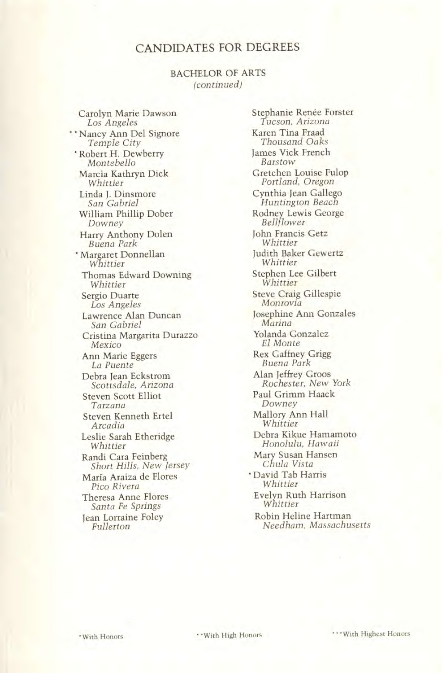#### BACHELOR OF ARTS (continued)

Carolyn Marie Dawson Los Angeles Nancy Ann Del Signore Temple City \* Robert H. Dewberry Montebello Marcia Kathryn Dick Whittier Linda J. Dinsmore San Gabriel William Phillip Dober Downey Harry Anthony Dolen Buena Park \* Margaret Donnellan Whittier Thomas Edward Downing Whittier Sergio Duarte Los Angeles Lawrence Alan Duncan San Gabriel Cristina Margarita Durazzo Mexico Ann Marie Eggers La Puente Debra Jean Eckstrom Scottsdale, Arizona Steven Scott Elliot Tarzana Steven Kenneth Ertel Arcadia Leslie Sarah Etheridge Whittier Randi Cara Feinberg Short Hills, New Jersey Maria Araiza de Flores Pico Rivera Theresa Anne Flores Santa Fe Springs Jean Lorraine Foley Fullerton

Stephanie Renée Forster Tucson, Arizona Karen Tina Fraad Thousand Oaks James Vick French Barstow Gretchen Louise Fulop Portland, Oregon Cynthia Jean Gallego Huntington Beach Rodney Lewis George Bellflower John Francis Getz Whittier Judith Baker Gewertz Whittier Stephen Lee Gilbert **Whittier** Steve Craig Gillespie Monrovia Josephine Ann Gonzales Marina Yolanda Gonzalez El Monte Rex Gaffney Grigg Buena Park Alan Jeffrey Groos Rochester, New York Paul Grimm Haack Downey Mallory Ann Hall Whittier Debra Kikue Hamamoto Honolulu, Hawaii Mary Susan Hansen Chula Vista \*David Tab Harris Whittier Evelyn Ruth Harrison Whittier Robin Heline Hartman Needham, Massachusetts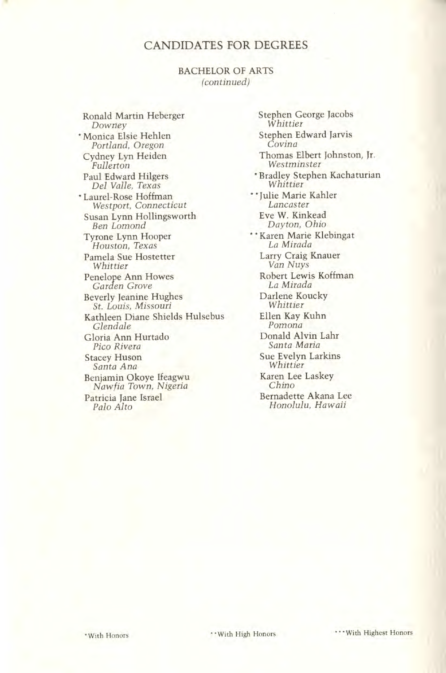#### BACHELOR OF ARTS (continued)

Ronald Martin Heberger Downey \* Monica Elsie Hehien Portland, Oregon Cydney Lyn Heiden Fullerton Paul Edward Hilgers Del Valle, Texas \* Laurel-Rose Hoffman Westport, Connecticut Susan Lynn Hollingsworth Ben Lomond Tyrone Lynn Hooper Houston, Texas Pamela Sue Hostetter Whittier Penelope Ann Howes Garden Grove Beverly Jeanine Hughes St. Louis, Missouri Kathleen Diane Shields Hulsebus Glendale Gloria Ann Hurtado Pico Rivera Stacey Huson Santa Ana Benjamin Okoye Ifeagwu Nawfia Town, Nigeria Patricia Jane Israel Palo Alto

Stephen George Jacobs Whittier Stephen Edward Jarvis Covina Thomas Elbert Johnston, Jr. Westminster \*Bradley Stephen Kachaturian Whittier \* \* Julie Marie Kahler Lancaster Eve W. Kinkead Dayton, Ohio \* \*Karen Marie Klebmgat La Mirada Larry Craig Knauer Van Nuys Robert Lewis Koffman La Mirada Darlene Koucky Whittier Ellen Kay Kuhn Pomona Donald Alvin Lahr Santa Maria Sue Evelyn Larkins Whittier Karen Lee Laskey Chino Bernadette Akana Lee Honolulu, Hawaii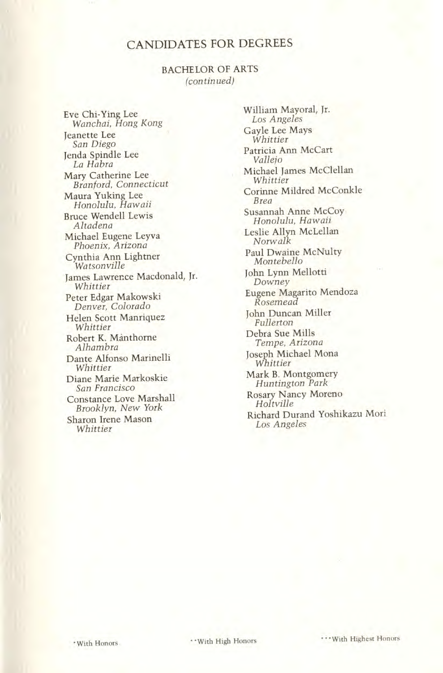BACHELOR OF ARTS (continued)

Eve Chi-Ying Lee Wanchai, Hong Kong Jeanette Lee San Diego Jenda Spindle Lee La Habra Mary Catherine Lee Branford, Connecticut Maura Yuking Lee Honolulu, Hawaii Bruce Wendell Lewis Altadena Michael Eugene Leyva Phoenix, Arizona Cynthia Ann Lightner Watsonville James Lawrence Macdonald, Jr. Whittier Peter Edgar Makowski Denver, Colorado Helen Scott Manriquez Whittier Robert K. Mánthorne Alhambra Dante Alfonso Marinelli Whittier Diane Marie Markoskie San Francisco Constance Love Marshall Brooklyn, New York Sharon Irene Mason Whittier

William Mayoral, Jr. Los Angeles Gayle Lee Mays Whittier Patricia Ann McCart Vallejo Michael James McClellan Whittier Corinne Mildred McConkle Brea Susannah Anne McCoy Honolulu, Hawaii Leslie Allyn McLellan Norwalk Paul Dwaine McNulty Montebello John Lynn Mellotti Downey Eugene Magarito Mendoza Rosemead John Duncan Miller Fullerton Debra Sue Mills Tempe, Arizona Joseph Michael Mona Whittier Mark B. Montgomery Huntington Park Rosary Nancy Moreno Holtville Richard Durand Yoshikazu Mon Los Angeles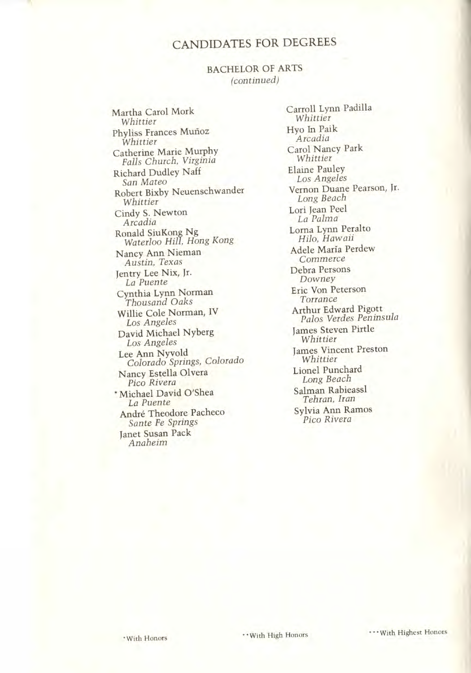#### BACHELOR OF ARTS (continued)

Martha Carol Mork Carroll Lynn Padilla Whittier Whittier<br>whittier Wuñoz Hyo In Paik Phyliss Frances Muñoz<br> *Hyo* In Pai Whittier Arcadia<br>
Marie Murphy Carol Nancy Park Catherine Marie Murphy Carol Nancy<br>Falls Church Virginia Whittier Falls Church, Virginia Mhittier<br>
Shard Dudley Naff (Blaine Pauley Richard Dudley Naff<br>San Mateo Robert Bixby Neuenschwander Whittier Long Beach<br>Whittier Long Beach<br>Indy S. Newton Lori Jean Peel Cindy S. Newton Lori Jean Pe<br>Arcadia La Palma Ronald SiuKong Ng Lorna Lynn Pera<br>Middle Hill Hong Kong Hill Hillo, Hawaii Waterloo Hill, Hong Kong Hilo, Hawaii Nancy Ann Nieman Adele Maria I<br>Commerce Austin, Texas Commerce<br>
Debra Persons Jentry Lee Nix, Jr.<br>Debra Persons Downey La Puente<br>
methia I ynn Norman (Brit Von Peterson) Cynthia Lynn Norman Eric Von Peterson<br>Torrance Torrance Torrance<br>
Torrance<br>
Torrance<br>
Arthur Edward Pigott Willie Cole Norman, IV<br>Los Angeles David Michael Nyberg James Steven Pirtler<br>Mittier Los Angeles Whittier<br>
Los Angeles Museum Iames Vincent Preston Lee Ann Nyvold James Vincent James Vincent Press, Colorado Colorado Springs, Colorado Whittier Nancy Estella Olvera<br>
Pico Rivera<br>
Long Beach<br>
Long Beach Pico Rivera<br>
ishaal David O'Shea<br>
Salman Rabieassl \* Michael David O'Shea Salman Rabiea<br>Tehran, Iran La Puente<br>
ndré Theodore Pacheco<br>
Sylvia Ann Ramos André Theodore Pacheco Sylvia Ann Ramos<br>Sente Fe Springs Pico Rivera Sante Fe Springs Janet Susan Pack Anaheim

Los Angeles<br>Vernon Duane Pearson, Jr. Lorna Lynn Peralto Palos Verdes Peninsula<br>James Steven Pirtle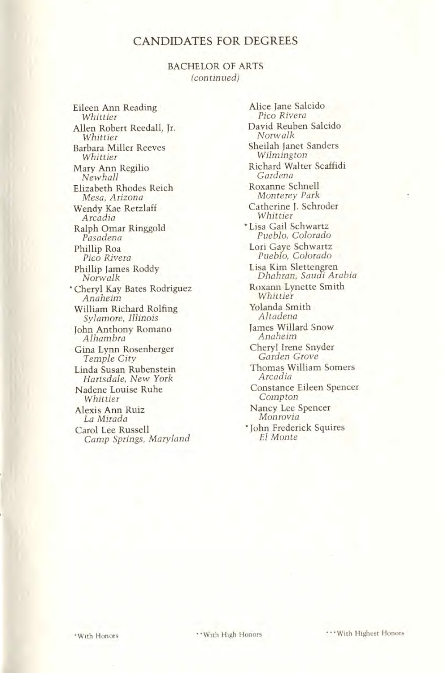BACHELOR OF ARTS (continued)

Eileen Ann Reading Whittier Allen Robert Reedall, Jr. Whittier Barbara Miller Reeves Whittier Mary Ann Regilio Newhall Elizabeth Rhodes Reich Mesa, Arizona Wendy Rae Retzlaff Arcadia Ralph Omar Ringgold Pasadena Phillip Roa Pica Rivera Phillip James Roddy Norwalk \* Cheryl Kay Bates Rodriguez Anaheim William Richard Rolfing Sylamore, Illinois John Anthony Romano Alhambra Gina Lynn Rosenberger Temple City Linda Susan Rubenstein Hartsdale, New York Nadene Louise Rube Whittier Alexis Ann Ruiz La Mirada Carol Lee Russell Camp Springs, Maryland

Alice Jane Salcido Pica Rivera David Reuben Salcido Norwalk Sheilah Janet Sanders Wilmington Richard Walter Scaffidi Gardena Roxanne Schnell Monterey Park Catherine J. Schroder Whittier \*Lisa Gail Schwartz Pueblo, Colorado Lori Gaye Schwartz Pueblo, Colorado Lisa Kim Slettengren Dhahran, Saudi Arabia Roxann Lynette Smith Whittier Yolanda Smith Altadena James Willard Snow Anaheim Cheryl Irene Snyder Garden Grove Thomas William Somers Arcadia Constance Eileen Spencer Compton Nancy Lee Spencer Monrovia \* John Frederick Squires El Monte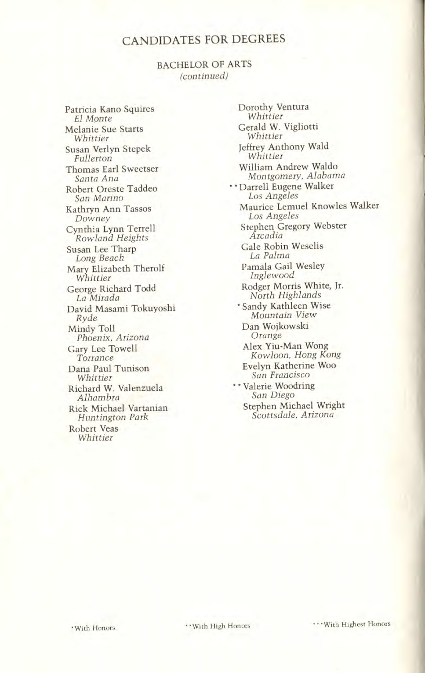BACHELOR OF ARTS (continued)

Patricia Kano Squires El Monte Melanie Sue Starts Whittier Susan Verlyn Stepek Fullerton Thomas Earl Sweetser Santa Ana Robert Oreste Taddeo San Marina Kathryn Ann Tassos Downey Cynthia Lynn Terrell Rowland Heights Susan Lee Tharp Long Beach Mary Elizabeth Theroif Whittier George Richard Todd La Mirada David Masami Tokuyoshi Ryde Mindy Toll Phoenix, Arizona Gary Lee Towell **Torrance** Dana Paul Tunison Whittier Richard W. Valenzuela Alhambra Rick Michael Vartanian Huntington Park Robert Veas Whittier

Dorothy Ventura Whittier Gerald W. Vigliotti Whittier Jeffrey Anthony Wald Whittier William Andrew Waldo Montgomery, Alabama \* \* Darrell Eugene Walker Los Angeles Maurice Lemuel Knowles Walker Los Angeles Stephen Gregory Webster Arcadia Gale Robin Weselis La Palma Pamala Gail Wesley Inglewood Rodger Morris White, Jr. North Highlands \* Sandy Kathleen Wise Mountain View Dan Wojkowski Orange Alex Yiu-Man Wong Kowloon, Hong Kong Evelyn Katherine Woo San Francisco \* \* Valerie Woodring San Diego Stephen Michael Wright Scottsdale, Arizona

\*With Honors \*\*\* With High Honors \*\*\*\* With Highest Honors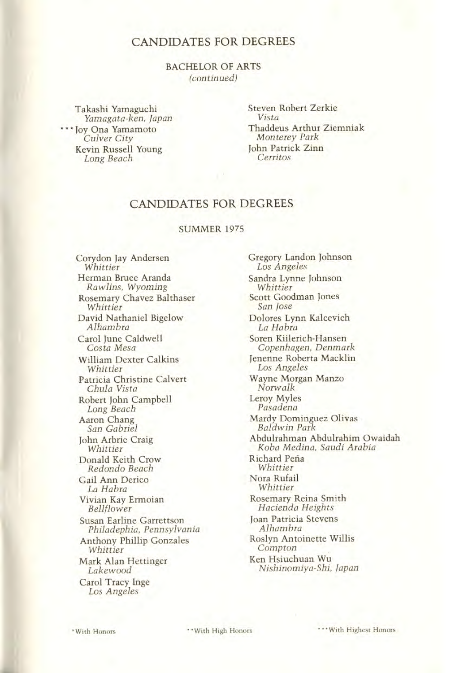BACHELOR OF ARTS (continued)

Takashi Yamaguchi Yamagata-ken, Japan \*\*\* Joy Ona Yamamoto Culver City Kevin Russell Young Long Beach

Steven Robert Zerkie Vista Thaddeus Arthur Ziemniak Monterey Park John Patrick Zinn Cerritos

#### CANDIDATES FOR DEGREES

#### SUMMER 1975

Corydon Jay Andersen Whittier Herman Bruce Aranda Rawlins, Wyoming Rosemary Chavez Baithaser Whittier David Nathaniel Bigelow Alhambra Carol June Caldwell Costa Mesa William Dexter Calkins Whittier Patricia Christine Calvert Chula Vista Robert John Campbell Long Beach Aaron Chang San Gabriel John Arbrie Craig Whittier Donald Keith Crow Redondo Beach Gail Ann Derico La Habra Vivian Kay Ermoian Bellflower Susan Earline Garrettson Philadephia, Pennsylvania Anthony Phillip Gonzales Whittier Mark Alan Hettinger Lakewood Carol Tracy Inge Los Angeles

Gregory Landon Johnson Los Angeles Sandra Lynne Johnson Whittier Scott Goodman Jones San Jose Dolores Lynn Kalcevich La Habra Soren Kiilerich-Hansen Copenhagen, Denmark Jenenne Roberta Macklin Los Angeles Wayne Morgan Manzo Norwalk Leroy Myles Pasadena Mardy Dominguez Olivas Baldwin Park Abdulrahman Abdulrahim Owaidah Koba Medina, Saudi Arabia Richard Peña Whittier Nora Rufail Whittier Rosemary Reina Smith Hacienda Heights Joan Patricia Stevens Alhambra Roslyn Antoinette Willis Compton Ken Hsiuchuan Wu Nishinomiya-Shi, Japan

\*With Honors \*\*\*With High Honors \*\*\*\*With Highest Honors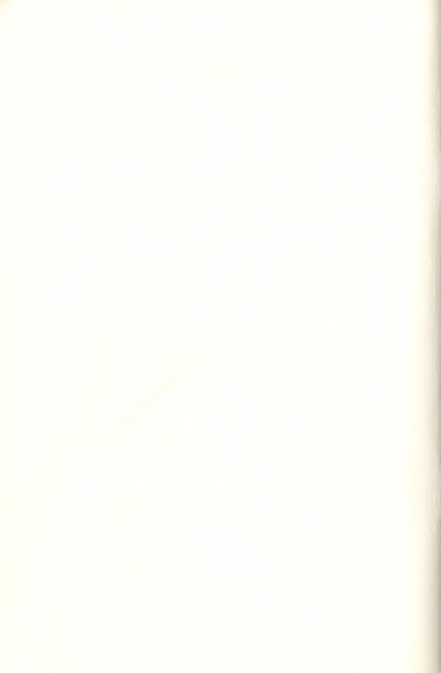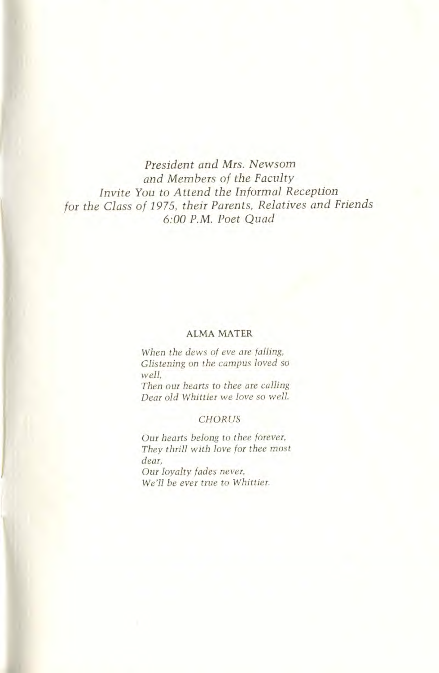President and Mrs. Newsom and Members of the Faculty Invite You to Attend the Informal Reception for the Class of 1975, their Parents, Relatives and Friends 6:00 P.M. Poet Quad

#### ALMA MATER

When the dews of eve are falling, Glistening on the campus loved so well.

Then our hearts to thee are calling Dear old Whittier we love so well.

#### **CHORUS**

Our hearts belong to thee forever, They thrill with love for thee most dear, Our loyalty fades never,

We'll be ever true to Whittier.